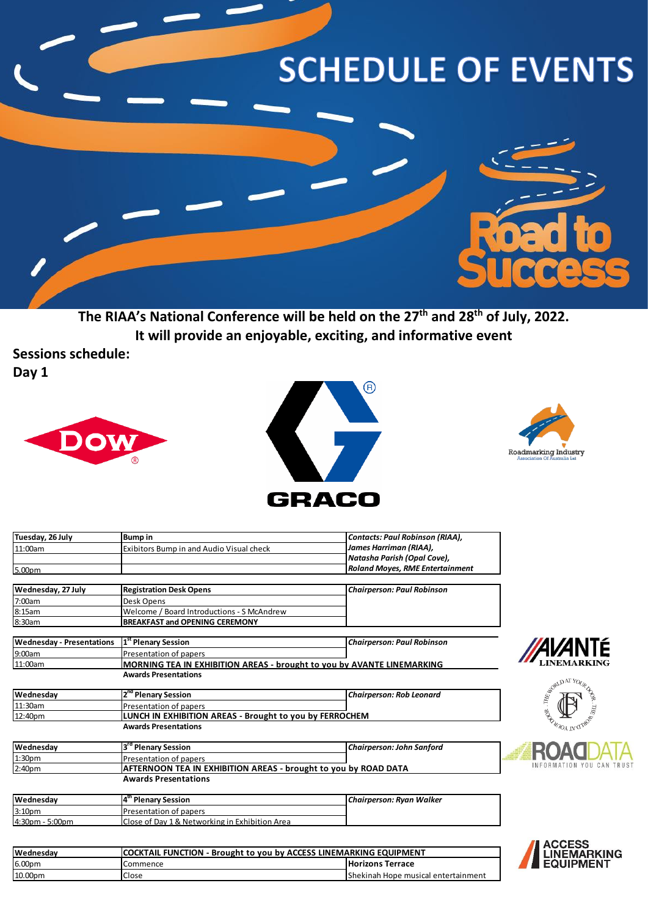## **SCHEDULE OF EVENTS**



**The RIAA's National Conference will be held on the 27th and 28th of July, 2022. It will provide an enjoyable, exciting, and informative event**

**Sessions schedule:**

**Day 1**







| Tuesday, 26 July                 | <b>Bump in</b>                                                                    | <b>Contacts: Paul Robinson (RIAA),</b> |                               |
|----------------------------------|-----------------------------------------------------------------------------------|----------------------------------------|-------------------------------|
| 11:00am                          | Exibitors Bump in and Audio Visual check                                          | James Harriman (RIAA),                 |                               |
|                                  |                                                                                   | Natasha Parish (Opal Cove),            |                               |
| 5.00pm                           |                                                                                   | <b>Roland Moyes, RME Entertainment</b> |                               |
| Wednesday, 27 July               | <b>Registration Desk Opens</b>                                                    | <b>Chairperson: Paul Robinson</b>      |                               |
| 7:00am                           | Desk Opens                                                                        |                                        |                               |
| 8:15am                           | Welcome / Board Introductions - S McAndrew                                        |                                        |                               |
| 8:30am                           | BREAKFAST and OPENING CEREMONY                                                    |                                        |                               |
| <b>Wednesday - Presentations</b> | 1 <sup>st</sup> Plenary Session                                                   | <b>Chairperson: Paul Robinson</b>      |                               |
| 9:00am                           | Presentation of papers                                                            |                                        | <b>AVANTÉ</b>                 |
| 11:00am                          | MORNING TEA IN EXHIBITION AREAS - brought to you by AVANTE LINEMARKING            |                                        |                               |
|                                  | <b>Awards Presentations</b>                                                       |                                        |                               |
| Wednesday                        | 2 <sup>nd</sup> Plenary Session                                                   | <b>Chairperson: Rob Leonard</b>        | WALD AT YOUR                  |
| 11:30am                          |                                                                                   |                                        |                               |
| 12:40pm                          | Presentation of papers<br>LUNCH IN EXHIBITION AREAS - Brought to you by FERROCHEM |                                        |                               |
|                                  | <b>Awards Presentations</b>                                                       |                                        |                               |
| Wednesday                        | 3 <sup>rd</sup> Plenary Session                                                   | <b>Chairperson: John Sanford</b>       |                               |
| 1:30 <sub>pm</sub>               | Presentation of papers                                                            |                                        | ROAC                          |
| 2:40 <sub>pm</sub>               | AFTERNOON TEA IN EXHIBITION AREAS - brought to you by ROAD DATA                   |                                        | INFORMATION YOU CAN TRUS      |
|                                  | <b>Awards Presentations</b>                                                       |                                        |                               |
| Wednesday                        | 4 <sup>th</sup> Plenary Session                                                   | Chairperson: Ryan Walker               |                               |
| 3:10 <sub>pm</sub>               | Presentation of papers                                                            |                                        |                               |
| 4:30pm - 5:00pm                  | Close of Day 1 & Networking in Exhibition Area                                    |                                        |                               |
|                                  |                                                                                   |                                        |                               |
| Wednesday                        | <b>COCKTAIL FUNCTION - Brought to you by ACCESS LINEMARKING EQUIPMENT</b>         |                                        | <b>ACCESS<br/>LINEMARKING</b> |
| 6.00pm                           | Commence                                                                          | <b>Horizons Terrace</b>                | <b>EQUIPMENT</b>              |
|                                  |                                                                                   |                                        |                               |

10.00pm Close Close Shekinah Hope musical entertainment